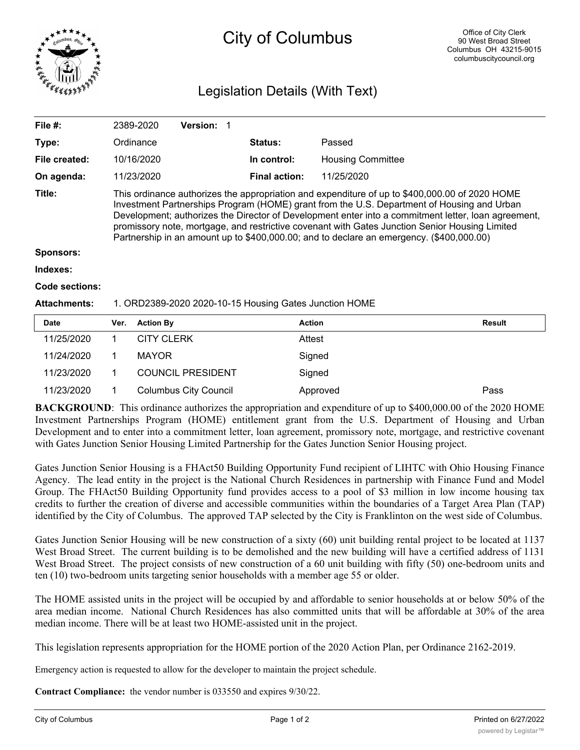

## City of Columbus

## Legislation Details (With Text)

| File #:             |                                                                                                                                                                                                                                                                                                                                                                                                                                                                                                   | 2389-2020         | <b>Version:</b> | -1 |                      |                          |               |
|---------------------|---------------------------------------------------------------------------------------------------------------------------------------------------------------------------------------------------------------------------------------------------------------------------------------------------------------------------------------------------------------------------------------------------------------------------------------------------------------------------------------------------|-------------------|-----------------|----|----------------------|--------------------------|---------------|
| Type:               |                                                                                                                                                                                                                                                                                                                                                                                                                                                                                                   | Ordinance         |                 |    | Status:              | Passed                   |               |
| File created:       |                                                                                                                                                                                                                                                                                                                                                                                                                                                                                                   | 10/16/2020        |                 |    | In control:          | <b>Housing Committee</b> |               |
| On agenda:          |                                                                                                                                                                                                                                                                                                                                                                                                                                                                                                   | 11/23/2020        |                 |    | <b>Final action:</b> | 11/25/2020               |               |
| Title:              | This ordinance authorizes the appropriation and expenditure of up to \$400,000.00 of 2020 HOME<br>Investment Partnerships Program (HOME) grant from the U.S. Department of Housing and Urban<br>Development; authorizes the Director of Development enter into a commitment letter, loan agreement,<br>promissory note, mortgage, and restrictive covenant with Gates Junction Senior Housing Limited<br>Partnership in an amount up to \$400,000.00; and to declare an emergency. (\$400,000.00) |                   |                 |    |                      |                          |               |
| Sponsors:           |                                                                                                                                                                                                                                                                                                                                                                                                                                                                                                   |                   |                 |    |                      |                          |               |
| Indexes:            |                                                                                                                                                                                                                                                                                                                                                                                                                                                                                                   |                   |                 |    |                      |                          |               |
| Code sections:      |                                                                                                                                                                                                                                                                                                                                                                                                                                                                                                   |                   |                 |    |                      |                          |               |
| <b>Attachments:</b> | 1. ORD2389-2020 2020-10-15 Housing Gates Junction HOME                                                                                                                                                                                                                                                                                                                                                                                                                                            |                   |                 |    |                      |                          |               |
| Date                | Ver.                                                                                                                                                                                                                                                                                                                                                                                                                                                                                              | <b>Action By</b>  |                 |    | <b>Action</b>        |                          | <b>Result</b> |
| 11/25/2020          | 1                                                                                                                                                                                                                                                                                                                                                                                                                                                                                                 | <b>CITY CLERK</b> |                 |    | Attest               |                          |               |
| 11/24/2020          |                                                                                                                                                                                                                                                                                                                                                                                                                                                                                                   | <b>MAYOR</b>      |                 |    | Signed               |                          |               |

11/23/2020 1 Columbus City Council Approved Pass **BACKGROUND**: This ordinance authorizes the appropriation and expenditure of up to \$400,000.00 of the 2020 HOME Investment Partnerships Program (HOME) entitlement grant from the U.S. Department of Housing and Urban Development and to enter into a commitment letter, loan agreement, promissory note, mortgage, and restrictive covenant

with Gates Junction Senior Housing Limited Partnership for the Gates Junction Senior Housing project.

Gates Junction Senior Housing is a FHAct50 Building Opportunity Fund recipient of LIHTC with Ohio Housing Finance Agency. The lead entity in the project is the National Church Residences in partnership with Finance Fund and Model Group. The FHAct50 Building Opportunity fund provides access to a pool of \$3 million in low income housing tax credits to further the creation of diverse and accessible communities within the boundaries of a Target Area Plan (TAP) identified by the City of Columbus. The approved TAP selected by the City is Franklinton on the west side of Columbus.

Gates Junction Senior Housing will be new construction of a sixty (60) unit building rental project to be located at 1137 West Broad Street. The current building is to be demolished and the new building will have a certified address of 1131 West Broad Street. The project consists of new construction of a 60 unit building with fifty (50) one-bedroom units and ten (10) two-bedroom units targeting senior households with a member age 55 or older.

The HOME assisted units in the project will be occupied by and affordable to senior households at or below 50% of the area median income. National Church Residences has also committed units that will be affordable at 30% of the area median income. There will be at least two HOME-assisted unit in the project.

This legislation represents appropriation for the HOME portion of the 2020 Action Plan, per Ordinance 2162-2019.

Emergency action is requested to allow for the developer to maintain the project schedule.

**Contract Compliance:** the vendor number is 033550 and expires 9/30/22.

11/23/2020 1 COUNCIL PRESIDENT Signed